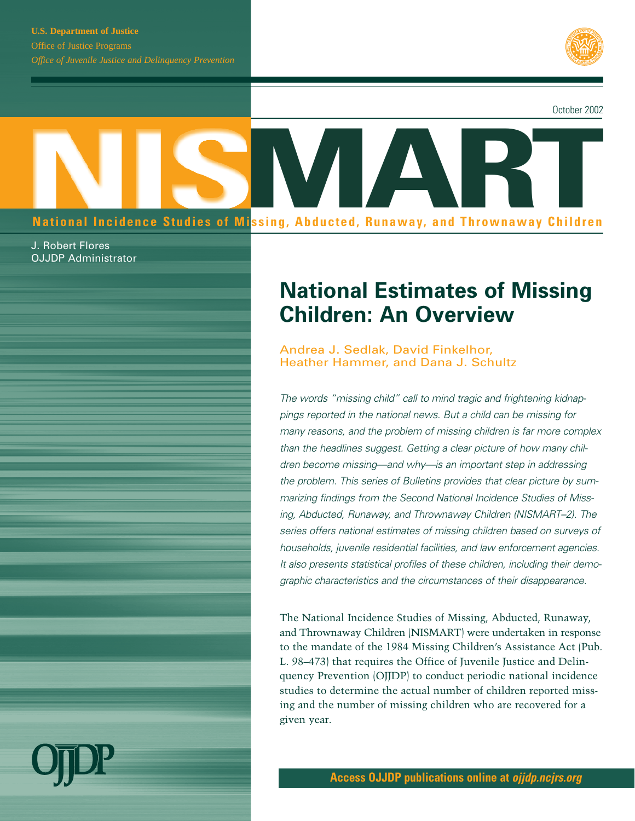

October 2002

# **MART National Incidence Studies of Missing, Abducted, Runaway, and Thrownaway Children**

J. Robert Flores OJJDP Administrator

## **National Estimates of Missing Children: An Overview**

Andrea J. Sedlak, David Finkelhor, Heather Hammer, and Dana J. Schultz

*The words "missing child" call to mind tragic and frightening kidnappings reported in the national news. But a child can be missing for many reasons, and the problem of missing children is far more complex than the headlines suggest. Getting a clear picture of how many children become missing—and why—is an important step in addressing the problem. This series of Bulletins provides that clear picture by summarizing findings from the Second National Incidence Studies of Missing, Abducted, Runaway, and Thrownaway Children (NISMART–2). The series offers national estimates of missing children based on surveys of households, juvenile residential facilities, and law enforcement agencies. It also presents statistical profiles of these children, including their demographic characteristics and the circumstances of their disappearance.*

The National Incidence Studies of Missing, Abducted, Runaway, and Thrownaway Children (NISMART) were undertaken in response to the mandate of the 1984 Missing Children's Assistance Act (Pub. L. 98–473) that requires the Office of Juvenile Justice and Delinquency Prevention (OJJDP) to conduct periodic national incidence studies to determine the actual number of children reported missing and the number of missing children who are recovered for a given year.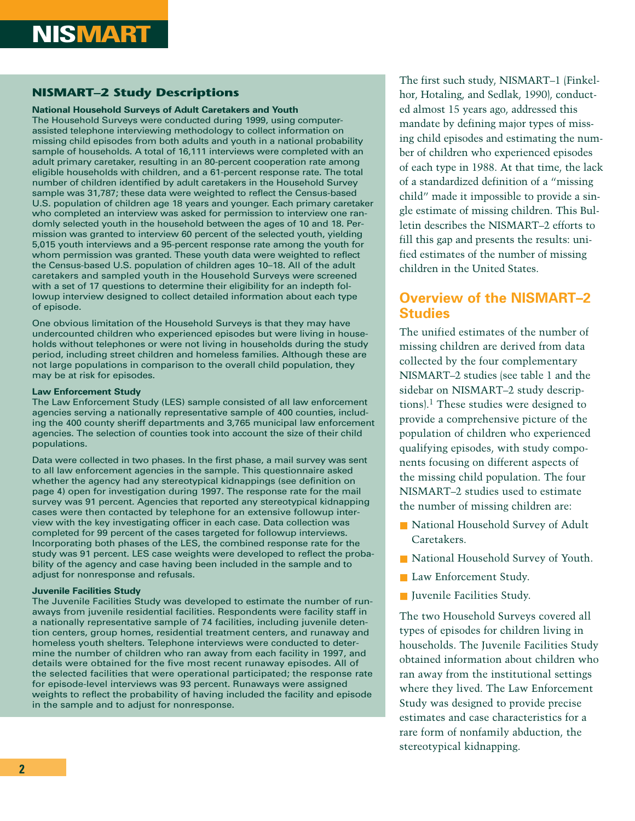#### **NISMART–2 Study Descriptions**

#### **National Household Surveys of Adult Caretakers and Youth**

The Household Surveys were conducted during 1999, using computerassisted telephone interviewing methodology to collect information on missing child episodes from both adults and youth in a national probability sample of households. A total of 16,111 interviews were completed with an adult primary caretaker, resulting in an 80-percent cooperation rate among eligible households with children, and a 61-percent response rate. The total number of children identified by adult caretakers in the Household Survey sample was 31,787; these data were weighted to reflect the Census-based U.S. population of children age 18 years and younger. Each primary caretaker who completed an interview was asked for permission to interview one randomly selected youth in the household between the ages of 10 and 18. Permission was granted to interview 60 percent of the selected youth, yielding 5,015 youth interviews and a 95-percent response rate among the youth for whom permission was granted. These youth data were weighted to reflect the Census-based U.S. population of children ages 10–18. All of the adult caretakers and sampled youth in the Household Surveys were screened with a set of 17 questions to determine their eligibility for an indepth followup interview designed to collect detailed information about each type of episode.

One obvious limitation of the Household Surveys is that they may have undercounted children who experienced episodes but were living in households without telephones or were not living in households during the study period, including street children and homeless families. Although these are not large populations in comparison to the overall child population, they may be at risk for episodes.

#### **Law Enforcement Study**

The Law Enforcement Study (LES) sample consisted of all law enforcement agencies serving a nationally representative sample of 400 counties, including the 400 county sheriff departments and 3,765 municipal law enforcement agencies. The selection of counties took into account the size of their child populations.

Data were collected in two phases. In the first phase, a mail survey was sent to all law enforcement agencies in the sample. This questionnaire asked whether the agency had any stereotypical kidnappings (see definition on page 4) open for investigation during 1997. The response rate for the mail survey was 91 percent. Agencies that reported any stereotypical kidnapping cases were then contacted by telephone for an extensive followup interview with the key investigating officer in each case. Data collection was completed for 99 percent of the cases targeted for followup interviews. Incorporating both phases of the LES, the combined response rate for the study was 91 percent. LES case weights were developed to reflect the probability of the agency and case having been included in the sample and to adjust for nonresponse and refusals.

#### **Juvenile Facilities Study**

The Juvenile Facilities Study was developed to estimate the number of runaways from juvenile residential facilities. Respondents were facility staff in a nationally representative sample of 74 facilities, including juvenile detention centers, group homes, residential treatment centers, and runaway and homeless youth shelters. Telephone interviews were conducted to determine the number of children who ran away from each facility in 1997, and details were obtained for the five most recent runaway episodes. All of the selected facilities that were operational participated; the response rate for episode-level interviews was 93 percent. Runaways were assigned weights to reflect the probability of having included the facility and episode in the sample and to adjust for nonresponse.

The first such study, NISMART–1 (Finkelhor, Hotaling, and Sedlak, 1990), conducted almost 15 years ago, addressed this mandate by defining major types of missing child episodes and estimating the number of children who experienced episodes of each type in 1988. At that time, the lack of a standardized definition of a "missing child" made it impossible to provide a single estimate of missing children. This Bulletin describes the NISMART–2 efforts to fill this gap and presents the results: unified estimates of the number of missing children in the United States.

### **Overview of the NISMART–2 Studies**

The unified estimates of the number of missing children are derived from data collected by the four complementary NISMART–2 studies (see table 1 and the sidebar on NISMART–2 study descriptions).<sup>1</sup> These studies were designed to provide a comprehensive picture of the population of children who experienced qualifying episodes, with study components focusing on different aspects of the missing child population. The four NISMART–2 studies used to estimate the number of missing children are:

- National Household Survey of Adult Caretakers.
- National Household Survey of Youth.
- Law Enforcement Study.
- Juvenile Facilities Study.

The two Household Surveys covered all types of episodes for children living in households. The Juvenile Facilities Study obtained information about children who ran away from the institutional settings where they lived. The Law Enforcement Study was designed to provide precise estimates and case characteristics for a rare form of nonfamily abduction, the stereotypical kidnapping.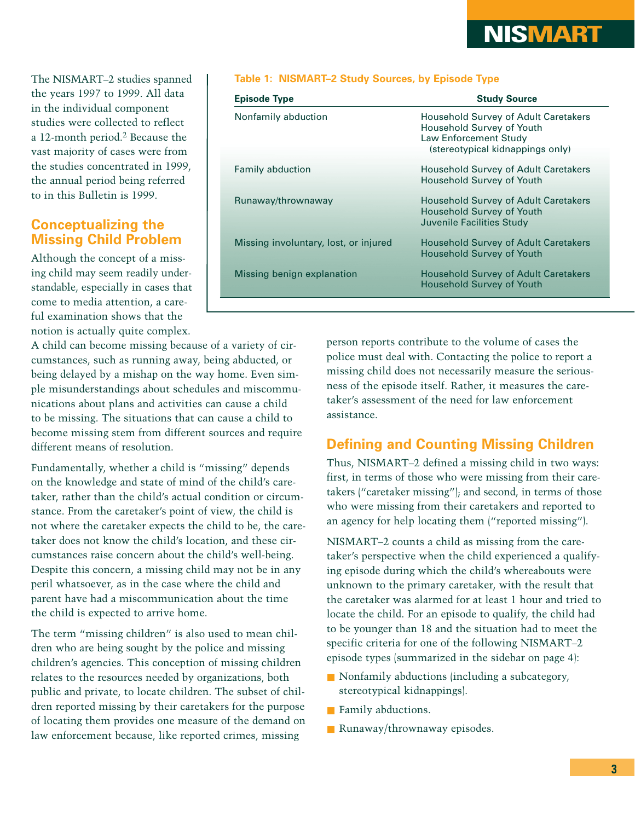## **NISMART**

The NISMART–2 studies spanned the years 1997 to 1999. All data in the individual component studies were collected to reflect a 12-month period.2 Because the vast majority of cases were from the studies concentrated in 1999, the annual period being referred to in this Bulletin is 1999.

#### **Conceptualizing the Missing Child Problem**

Although the concept of a missing child may seem readily understandable, especially in cases that come to media attention, a careful examination shows that the notion is actually quite complex.

A child can become missing because of a variety of circumstances, such as running away, being abducted, or being delayed by a mishap on the way home. Even simple misunderstandings about schedules and miscommunications about plans and activities can cause a child to be missing. The situations that can cause a child to become missing stem from different sources and require different means of resolution.

Fundamentally, whether a child is "missing" depends on the knowledge and state of mind of the child's caretaker, rather than the child's actual condition or circumstance. From the caretaker's point of view, the child is not where the caretaker expects the child to be, the caretaker does not know the child's location, and these circumstances raise concern about the child's well-being. Despite this concern, a missing child may not be in any peril whatsoever, as in the case where the child and parent have had a miscommunication about the time the child is expected to arrive home.

The term "missing children" is also used to mean children who are being sought by the police and missing children's agencies. This conception of missing children relates to the resources needed by organizations, both public and private, to locate children. The subset of children reported missing by their caretakers for the purpose of locating them provides one measure of the demand on law enforcement because, like reported crimes, missing

#### **Table 1: NISMART–2 Study Sources, by Episode Type**

| <b>Episode Type</b>                   | <b>Study Source</b>                                                                                                                   |
|---------------------------------------|---------------------------------------------------------------------------------------------------------------------------------------|
| Nonfamily abduction                   | Household Survey of Adult Caretakers<br>Household Survey of Youth<br><b>Law Enforcement Study</b><br>(stereotypical kidnappings only) |
| <b>Family abduction</b>               | <b>Household Survey of Adult Caretakers</b><br><b>Household Survey of Youth</b>                                                       |
| Runaway/thrownaway                    | <b>Household Survey of Adult Caretakers</b><br><b>Household Survey of Youth</b><br>Juvenile Facilities Study                          |
| Missing involuntary, lost, or injured | <b>Household Survey of Adult Caretakers</b><br><b>Household Survey of Youth</b>                                                       |
| Missing benign explanation            | <b>Household Survey of Adult Caretakers</b><br><b>Household Survey of Youth</b>                                                       |
|                                       |                                                                                                                                       |

person reports contribute to the volume of cases the police must deal with. Contacting the police to report a missing child does not necessarily measure the seriousness of the episode itself. Rather, it measures the caretaker's assessment of the need for law enforcement assistance.

#### **Defining and Counting Missing Children**

Thus, NISMART–2 defined a missing child in two ways: first, in terms of those who were missing from their caretakers ("caretaker missing"); and second, in terms of those who were missing from their caretakers and reported to an agency for help locating them ("reported missing").

NISMART–2 counts a child as missing from the caretaker's perspective when the child experienced a qualifying episode during which the child's whereabouts were unknown to the primary caretaker, with the result that the caretaker was alarmed for at least 1 hour and tried to locate the child. For an episode to qualify, the child had to be younger than 18 and the situation had to meet the specific criteria for one of the following NISMART–2 episode types (summarized in the sidebar on page 4):

- Nonfamily abductions (including a subcategory, stereotypical kidnappings).
- Family abductions.
- Runaway/thrownaway episodes.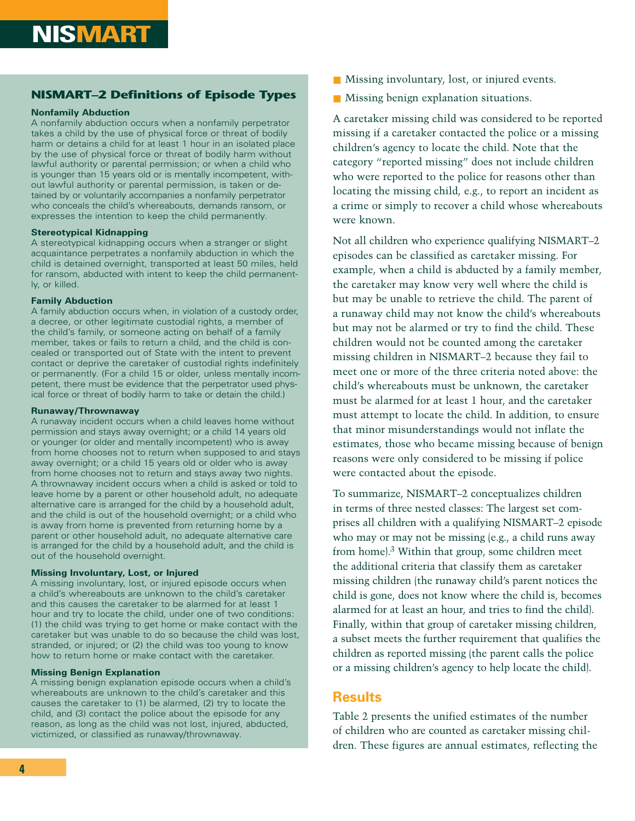#### **NISMART–2 Definitions of Episode Types**

#### **Nonfamily Abduction**

A nonfamily abduction occurs when a nonfamily perpetrator takes a child by the use of physical force or threat of bodily harm or detains a child for at least 1 hour in an isolated place by the use of physical force or threat of bodily harm without lawful authority or parental permission; or when a child who is younger than 15 years old or is mentally incompetent, without lawful authority or parental permission, is taken or detained by or voluntarily accompanies a nonfamily perpetrator who conceals the child's whereabouts, demands ransom, or expresses the intention to keep the child permanently.

#### **Stereotypical Kidnapping**

A stereotypical kidnapping occurs when a stranger or slight acquaintance perpetrates a nonfamily abduction in which the child is detained overnight, transported at least 50 miles, held for ransom, abducted with intent to keep the child permanently, or killed.

#### **Family Abduction**

A family abduction occurs when, in violation of a custody order, a decree, or other legitimate custodial rights, a member of the child's family, or someone acting on behalf of a family member, takes or fails to return a child, and the child is concealed or transported out of State with the intent to prevent contact or deprive the caretaker of custodial rights indefinitely or permanently. (For a child 15 or older, unless mentally incompetent, there must be evidence that the perpetrator used physical force or threat of bodily harm to take or detain the child.)

#### **Runaway/Thrownaway**

A runaway incident occurs when a child leaves home without permission and stays away overnight; or a child 14 years old or younger (or older and mentally incompetent) who is away from home chooses not to return when supposed to and stays away overnight; or a child 15 years old or older who is away from home chooses not to return and stays away two nights. A thrownaway incident occurs when a child is asked or told to leave home by a parent or other household adult, no adequate alternative care is arranged for the child by a household adult, and the child is out of the household overnight; or a child who is away from home is prevented from returning home by a parent or other household adult, no adequate alternative care is arranged for the child by a household adult, and the child is out of the household overnight.

#### **Missing Involuntary, Lost, or Injured**

A missing involuntary, lost, or injured episode occurs when a child's whereabouts are unknown to the child's caretaker and this causes the caretaker to be alarmed for at least 1 hour and try to locate the child, under one of two conditions: (1) the child was trying to get home or make contact with the caretaker but was unable to do so because the child was lost, stranded, or injured; or (2) the child was too young to know how to return home or make contact with the caretaker.

#### **Missing Benign Explanation**

A missing benign explanation episode occurs when a child's whereabouts are unknown to the child's caretaker and this causes the caretaker to (1) be alarmed, (2) try to locate the child, and (3) contact the police about the episode for any reason, as long as the child was not lost, injured, abducted, victimized, or classified as runaway/thrownaway.

- Missing involuntary, lost, or injured events.
- Missing benign explanation situations.

A caretaker missing child was considered to be reported missing if a caretaker contacted the police or a missing children's agency to locate the child. Note that the category "reported missing" does not include children who were reported to the police for reasons other than locating the missing child, e.g., to report an incident as a crime or simply to recover a child whose whereabouts were known.

Not all children who experience qualifying NISMART–2 episodes can be classified as caretaker missing. For example, when a child is abducted by a family member, the caretaker may know very well where the child is but may be unable to retrieve the child. The parent of a runaway child may not know the child's whereabouts but may not be alarmed or try to find the child. These children would not be counted among the caretaker missing children in NISMART–2 because they fail to meet one or more of the three criteria noted above: the child's whereabouts must be unknown, the caretaker must be alarmed for at least 1 hour, and the caretaker must attempt to locate the child. In addition, to ensure that minor misunderstandings would not inflate the estimates, those who became missing because of benign reasons were only considered to be missing if police were contacted about the episode.

To summarize, NISMART–2 conceptualizes children in terms of three nested classes: The largest set comprises all children with a qualifying NISMART–2 episode who may or may not be missing (e.g., a child runs away from home).3 Within that group, some children meet the additional criteria that classify them as caretaker missing children (the runaway child's parent notices the child is gone, does not know where the child is, becomes alarmed for at least an hour, and tries to find the child). Finally, within that group of caretaker missing children, a subset meets the further requirement that qualifies the children as reported missing (the parent calls the police or a missing children's agency to help locate the child).

### **Results**

Table 2 presents the unified estimates of the number of children who are counted as caretaker missing children. These figures are annual estimates, reflecting the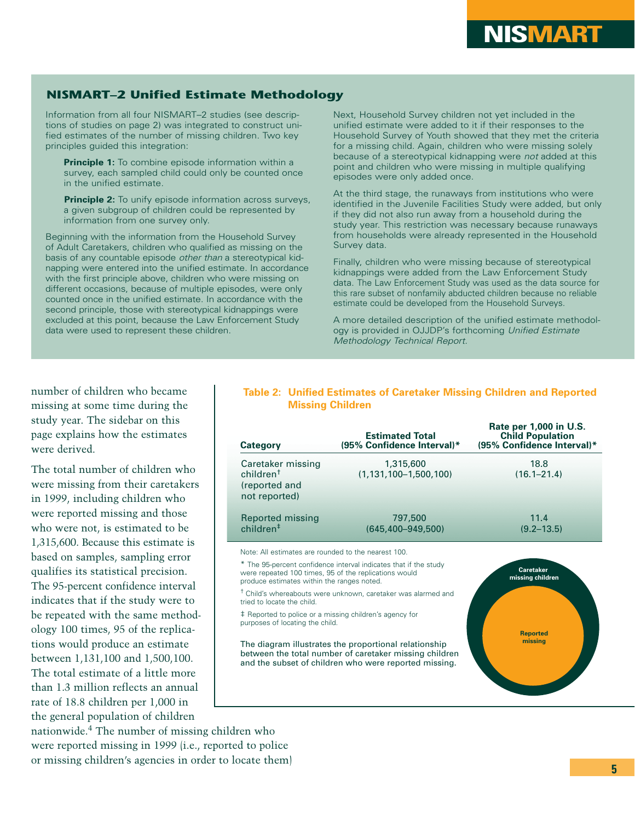#### **NISMART–2 Unified Estimate Methodology**

Information from all four NISMART–2 studies (see descriptions of studies on page 2) was integrated to construct unified estimates of the number of missing children. Two key principles guided this integration:

**Principle 1:** To combine episode information within a survey, each sampled child could only be counted once in the unified estimate.

**Principle 2:** To unify episode information across surveys, a given subgroup of children could be represented by information from one survey only.

Beginning with the information from the Household Survey of Adult Caretakers, children who qualified as missing on the basis of any countable episode *other than* a stereotypical kidnapping were entered into the unified estimate. In accordance with the first principle above, children who were missing on different occasions, because of multiple episodes, were only counted once in the unified estimate. In accordance with the second principle, those with stereotypical kidnappings were excluded at this point, because the Law Enforcement Study data were used to represent these children.

Next, Household Survey children not yet included in the unified estimate were added to it if their responses to the Household Survey of Youth showed that they met the criteria for a missing child. Again, children who were missing solely because of a stereotypical kidnapping were *not* added at this point and children who were missing in multiple qualifying episodes were only added once.

At the third stage, the runaways from institutions who were identified in the Juvenile Facilities Study were added, but only if they did not also run away from a household during the study year. This restriction was necessary because runaways from households were already represented in the Household Survey data.

Finally, children who were missing because of stereotypical kidnappings were added from the Law Enforcement Study data. The Law Enforcement Study was used as the data source for this rare subset of nonfamily abducted children because no reliable estimate could be developed from the Household Surveys.

A more detailed description of the unified estimate methodology is provided in OJJDP's forthcoming *Unified Estimate Methodology Technical Report.*

number of children who became missing at some time during the study year. The sidebar on this page explains how the estimates were derived.

The total number of children who were missing from their caretakers in 1999, including children who were reported missing and those who were not, is estimated to be 1,315,600. Because this estimate is based on samples, sampling error qualifies its statistical precision. The 95-percent confidence interval indicates that if the study were to be repeated with the same methodology 100 times, 95 of the replications would produce an estimate between 1,131,100 and 1,500,100. The total estimate of a little more than 1.3 million reflects an annual rate of 18.8 children per 1,000 in the general population of children

#### **Table 2: Unified Estimates of Caretaker Missing Children and Reported Missing Children**

| Category                                                                     | <b>Estimated Total</b><br>(95% Confidence Interval)*             | Rate per 1,000 in U.S.<br><b>Child Population</b><br>(95% Confidence Interval)* |
|------------------------------------------------------------------------------|------------------------------------------------------------------|---------------------------------------------------------------------------------|
| Caretaker missing<br>children <sup>†</sup><br>(reported and<br>not reported) | 1,315,600<br>$(1, 131, 100 - 1, 500, 100)$                       | 18.8<br>$(16.1 - 21.4)$                                                         |
| Reported missing<br>children <sup>†</sup>                                    | 797,500<br>$(645.400 - 949.500)$                                 | 11.4<br>$(9.2 - 13.5)$                                                          |
| Note: All estimates are rounded to the nearest 100.                          | * The 95-percent confidence interval indicates that if the study | Caratakar                                                                       |

were repeated 100 times, 95 of the replications would produce estimates within the ranges noted.

<sup>†</sup> Child's whereabouts were unknown, caretaker was alarmed and tried to locate the child.

‡ Reported to police or a missing children's agency for purposes of locating the child.

The diagram illustrates the proportional relationship between the total number of caretaker missing children and the subset of children who were reported missing.



nationwide.4 The number of missing children who were reported missing in 1999 (i.e., reported to police or missing children's agencies in order to locate them)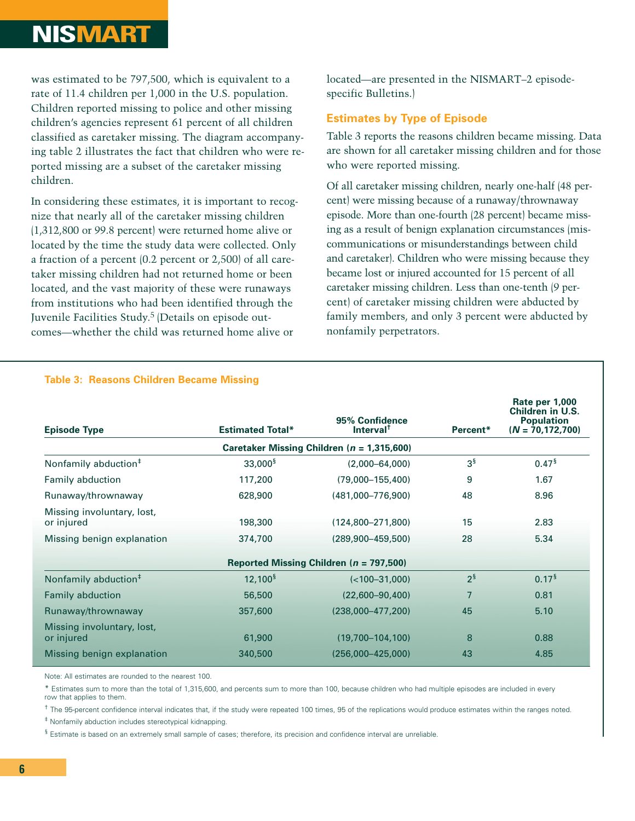## **NISMART**

was estimated to be 797,500, which is equivalent to a rate of 11.4 children per 1,000 in the U.S. population. Children reported missing to police and other missing children's agencies represent 61 percent of all children classified as caretaker missing. The diagram accompanying table 2 illustrates the fact that children who were reported missing are a subset of the caretaker missing children.

In considering these estimates, it is important to recognize that nearly all of the caretaker missing children (1,312,800 or 99.8 percent) were returned home alive or located by the time the study data were collected. Only a fraction of a percent (0.2 percent or 2,500) of all caretaker missing children had not returned home or been located, and the vast majority of these were runaways from institutions who had been identified through the Juvenile Facilities Study.<sup>5</sup> (Details on episode outcomes—whether the child was returned home alive or

located—are presented in the NISMART–2 episodespecific Bulletins.)

#### **Estimates by Type of Episode**

Table 3 reports the reasons children became missing. Data are shown for all caretaker missing children and for those who were reported missing.

Of all caretaker missing children, nearly one-half (48 percent) were missing because of a runaway/thrownaway episode. More than one-fourth (28 percent) became missing as a result of benign explanation circumstances (miscommunications or misunderstandings between child and caretaker). Children who were missing because they became lost or injured accounted for 15 percent of all caretaker missing children. Less than one-tenth (9 percent) of caretaker missing children were abducted by family members, and only 3 percent were abducted by nonfamily perpetrators.

| <b>Episode Type</b>                      | <b>Estimated Total*</b> | 95% Confidence<br>Interval <sup>t</sup>        | Percent*          | Rate per 1,000<br>Children in U.S.<br><b>Population</b><br>$(N = 70, 172, 700)$ |
|------------------------------------------|-------------------------|------------------------------------------------|-------------------|---------------------------------------------------------------------------------|
|                                          |                         | Caretaker Missing Children ( $n = 1,315,600$ ) |                   |                                                                                 |
| Nonfamily abduction <sup>#</sup>         | $33,000^{\frac{5}{3}}$  | $(2,000 - 64,000)$                             | 3 <sup>§</sup>    | 0.47 <sup>5</sup>                                                               |
| Family abduction                         | 117,200                 | $(79,000 - 155,400)$                           | 9                 | 1.67                                                                            |
| Runaway/thrownaway                       | 628,900                 | $(481,000 - 776,900)$                          | 48                | 8.96                                                                            |
| Missing involuntary, lost,<br>or injured | 198,300                 | $(124,800 - 271,800)$                          | 15                | 2.83                                                                            |
| Missing benign explanation               | 374,700                 | $(289,900 - 459,500)$                          | 28                | 5.34                                                                            |
|                                          |                         | Reported Missing Children ( $n = 797,500$ )    |                   |                                                                                 |
| Nonfamily abduction <sup>#</sup>         | $12,100^{\frac{5}{3}}$  | $(<100-31,000)$                                | $2^{\frac{5}{3}}$ | 0.17 <sup>5</sup>                                                               |
| <b>Family abduction</b>                  | 56,500                  | $(22,600 - 90,400)$                            | 7                 | 0.81                                                                            |
| Runaway/thrownaway                       | 357,600                 | $(238,000 - 477,200)$                          | 45                | 5.10                                                                            |
| Missing involuntary, lost,<br>or injured | 61,900                  | $(19,700 - 104,100)$                           | 8                 | 0.88                                                                            |
| Missing benign explanation               | 340,500                 | $(256,000-425,000)$                            | 43                | 4.85                                                                            |

#### **Table 3: Reasons Children Became Missing**

Note: All estimates are rounded to the nearest 100.

\* Estimates sum to more than the total of 1,315,600, and percents sum to more than 100, because children who had multiple episodes are included in every row that applies to them.

<sup>†</sup> The 95-percent confidence interval indicates that, if the study were repeated 100 times, 95 of the replications would produce estimates within the ranges noted.

‡ Nonfamily abduction includes stereotypical kidnapping.

§ Estimate is based on an extremely small sample of cases; therefore, its precision and confidence interval are unreliable.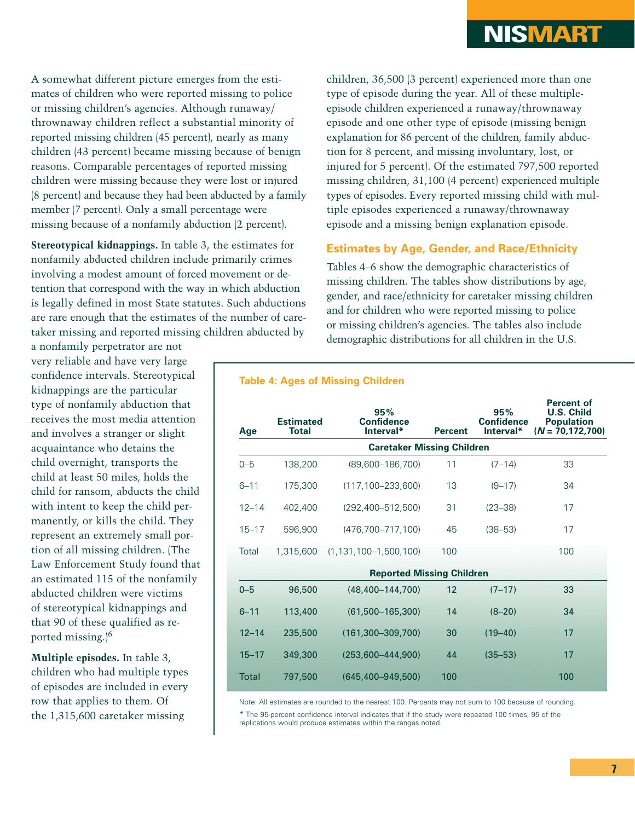A somewhat different picture emerges from the estimates of children who were reported missing to police or missing children's agencies. Although runaway/ thrownaway children reflect a substantial minority of reported missing children (45 percent), nearly as many children (43 percent) became missing because of benign reasons. Comparable percentages of reported missing children were missing because they were lost or injured (8 percent) and because they had been abducted by a family member (7 percent). Only a small percentage were missing because of a nonfamily abduction (2 percent).

**Stereotypical kidnappings.** In table 3, the estimates for nonfamily abducted children include primarily crimes involving a modest amount of forced movement or detention that correspond with the way in which abduction is legally defined in most State statutes. Such abductions are rare enough that the estimates of the number of caretaker missing and reported missing children abducted by

a nonfamily perpetrator are not very reliable and have very large confidence intervals. Stereotypical kidnappings are the particular type of nonfamily abduction that receives the most media attention and involves a stranger or slight acquaintance who detains the child overnight, transports the child at least 50 miles, holds the child for ransom, abducts the child with intent to keep the child permanently, or kills the child. They represent an extremely small portion of all missing children. (The Law Enforcement Study found that an estimated 115 of the nonfamily abducted children were victims of stereotypical kidnappings and that 90 of these qualified as reported missing.)6

**Multiple episodes.** In table 3, children who had multiple types of episodes are included in every row that applies to them. Of the 1,315,600 caretaker missing

children, 36,500 (3 percent) experienced more than one type of episode during the year. All of these multipleepisode children experienced a runaway/thrownaway episode and one other type of episode (missing benign explanation for 86 percent of the children, family abduction for 8 percent, and missing involuntary, lost, or injured for 5 percent). Of the estimated 797,500 reported missing children, 31,100 (4 percent) experienced multiple types of episodes. Every reported missing child with multiple episodes experienced a runaway/thrownaway episode and a missing benign explanation episode.

#### **Estimates by Age, Gender, and Race/Ethnicity**

Tables 4–6 show the demographic characteristics of missing children. The tables show distributions by age, gender, and race/ethnicity for caretaker missing children and for children who were reported missing to police or missing children's agencies. The tables also include demographic distributions for all children in the U.S.

| Age          | <b>Estimated</b><br><b>Total</b> | 95%<br><b>Confidence</b><br>Interval* | <b>Percent</b> | 95%<br><b>Confidence</b><br>Interval* | <b>Percent of</b><br><b>U.S. Child</b><br><b>Population</b><br>$(N = 70, 172, 700)$ |
|--------------|----------------------------------|---------------------------------------|----------------|---------------------------------------|-------------------------------------------------------------------------------------|
|              |                                  | <b>Caretaker Missing Children</b>     |                |                                       |                                                                                     |
| $0 - 5$      | 138,200                          | $(89,600 - 186,700)$                  | 11             | $(7-14)$                              | 33                                                                                  |
| $6 - 11$     | 175,300                          | $(117, 100 - 233, 600)$               | 13             | $(9 - 17)$                            | 34                                                                                  |
| $12 - 14$    | 402,400                          | (292,400-512,500)                     | 31             | $(23 - 38)$                           | 17                                                                                  |
| $15 - 17$    | 596,900                          | $(476, 700 - 717, 100)$               | 45             | $(38 - 53)$                           | 17                                                                                  |
| Total        | 1,315,600                        | $(1, 131, 100 - 1, 500, 100)$         | 100            |                                       | 100                                                                                 |
|              |                                  | <b>Reported Missing Children</b>      |                |                                       |                                                                                     |
| $0 - 5$      | 96,500                           | $(48,400 - 144,700)$                  | 12             | $(7 - 17)$                            | 33                                                                                  |
| $6 - 11$     | 113,400                          | $(61,500-165,300)$                    | 14             | $(8 - 20)$                            | 34                                                                                  |
| $12 - 14$    | 235,500                          | $(161, 300 - 309, 700)$               | 30             | $(19 - 40)$                           | 17                                                                                  |
| $15 - 17$    | 349,300                          | $(253.600 - 444.900)$                 | 44             | $(35 - 53)$                           | 17                                                                                  |
| <b>Total</b> | 797,500                          | $(645, 400 - 949, 500)$               | 100            |                                       | 100                                                                                 |

**Table 4: Ages of Missing Children**

Note: All estimates are rounded to the nearest 100. Percents may not sum to 100 because of rounding.

\* The 95-percent confidence interval indicates that if the study were repeated 100 times, 95 of the replications would produce estimates within the ranges noted.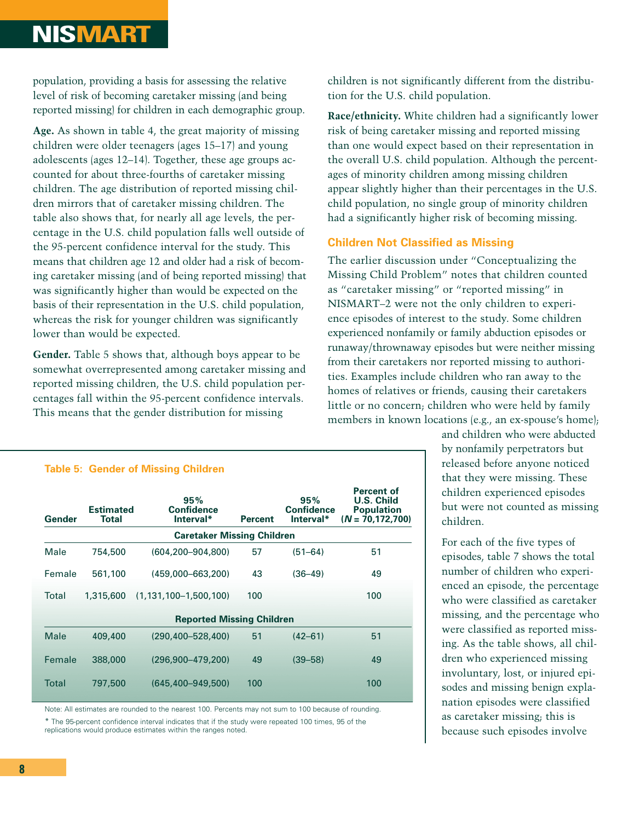## **NISMART**

population, providing a basis for assessing the relative level of risk of becoming caretaker missing (and being reported missing) for children in each demographic group.

**Age.** As shown in table 4, the great majority of missing children were older teenagers (ages 15–17) and young adolescents (ages 12–14). Together, these age groups accounted for about three-fourths of caretaker missing children. The age distribution of reported missing children mirrors that of caretaker missing children. The table also shows that, for nearly all age levels, the percentage in the U.S. child population falls well outside of the 95-percent confidence interval for the study. This means that children age 12 and older had a risk of becoming caretaker missing (and of being reported missing) that was significantly higher than would be expected on the basis of their representation in the U.S. child population, whereas the risk for younger children was significantly lower than would be expected.

**Gender.** Table 5 shows that, although boys appear to be somewhat overrepresented among caretaker missing and reported missing children, the U.S. child population percentages fall within the 95-percent confidence intervals. This means that the gender distribution for missing

children is not significantly different from the distribution for the U.S. child population.

**Race/ethnicity.** White children had a significantly lower risk of being caretaker missing and reported missing than one would expect based on their representation in the overall U.S. child population. Although the percentages of minority children among missing children appear slightly higher than their percentages in the U.S. child population, no single group of minority children had a significantly higher risk of becoming missing.

#### **Children Not Classified as Missing**

The earlier discussion under "Conceptualizing the Missing Child Problem" notes that children counted as "caretaker missing" or "reported missing" in NISMART–2 were not the only children to experience episodes of interest to the study. Some children experienced nonfamily or family abduction episodes or runaway/thrownaway episodes but were neither missing from their caretakers nor reported missing to authorities. Examples include children who ran away to the homes of relatives or friends, causing their caretakers little or no concern; children who were held by family members in known locations (e.g., an ex-spouse's home);

#### **Table 5: Gender of Missing Children**

| Gender      | <b>Estimated</b><br>Total | 95%<br><b>Confidence</b><br>Interval* | <b>Percent</b> | 95%<br><b>Confidence</b><br>Interval* | <b>Percent of</b><br><b>U.S. Child</b><br><b>Population</b><br>$(N = 70, 172, 700)$ |
|-------------|---------------------------|---------------------------------------|----------------|---------------------------------------|-------------------------------------------------------------------------------------|
|             |                           | <b>Caretaker Missing Children</b>     |                |                                       |                                                                                     |
| Male        | 754,500                   | (604,200–904,800)                     | 57             | $(51 - 64)$                           | 51                                                                                  |
| Female      | 561,100                   | (459,000-663,200)                     | 43             | $(36 - 49)$                           | 49                                                                                  |
| Total       | 1,315,600                 | $(1, 131, 100 - 1, 500, 100)$         | 100            |                                       | 100                                                                                 |
|             |                           | <b>Reported Missing Children</b>      |                |                                       |                                                                                     |
| <b>Male</b> | 409,400                   | $(290.400 - 528.400)$                 | 51             | $(42 - 61)$                           | 51                                                                                  |
| Female      | 388,000                   | (296.900–479.200)                     | 49             | $(39 - 58)$                           | 49                                                                                  |
| Total       | 797,500                   | $(645, 400 - 949, 500)$               | 100            |                                       | 100                                                                                 |

Note: All estimates are rounded to the nearest 100. Percents may not sum to 100 because of rounding. \* The 95-percent confidence interval indicates that if the study were repeated 100 times, 95 of the replications would produce estimates within the ranges noted.

and children who were abducted by nonfamily perpetrators but released before anyone noticed that they were missing. These children experienced episodes but were not counted as missing children.

For each of the five types of episodes, table 7 shows the total number of children who experienced an episode, the percentage who were classified as caretaker missing, and the percentage who were classified as reported missing. As the table shows, all children who experienced missing involuntary, lost, or injured episodes and missing benign explanation episodes were classified as caretaker missing; this is because such episodes involve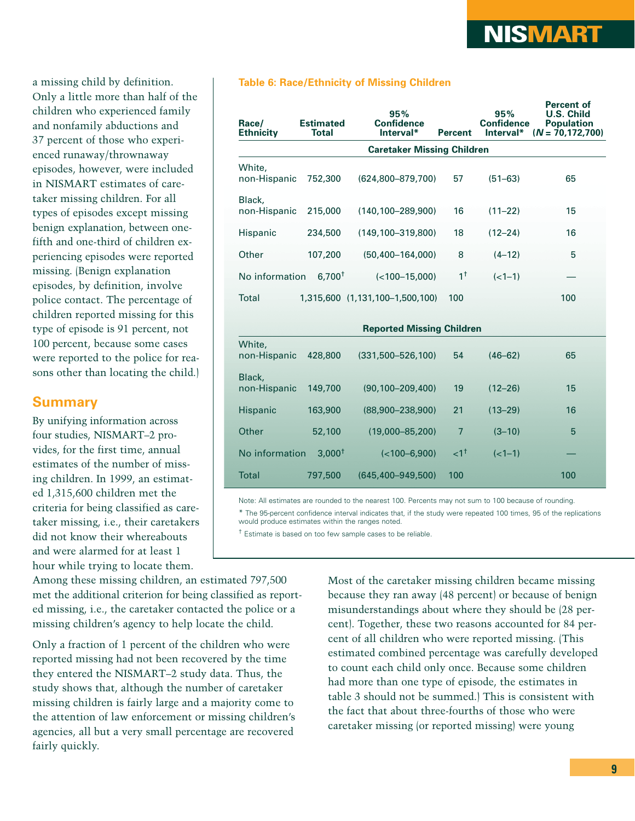a missing child by definition. Only a little more than half of the children who experienced family and nonfamily abductions and 37 percent of those who experienced runaway/thrownaway episodes, however, were included in NISMART estimates of caretaker missing children. For all types of episodes except missing benign explanation, between onefifth and one-third of children experiencing episodes were reported missing. (Benign explanation episodes, by definition, involve police contact. The percentage of children reported missing for this type of episode is 91 percent, not 100 percent, because some cases were reported to the police for reasons other than locating the child.)

#### **Summary**

By unifying information across four studies, NISMART–2 provides, for the first time, annual estimates of the number of missing children. In 1999, an estimated 1,315,600 children met the criteria for being classified as caretaker missing, i.e., their caretakers did not know their whereabouts and were alarmed for at least 1 hour while trying to locate them.

**Table 6: Race/Ethnicity of Missing Children**

| Race/<br><b>Ethnicity</b> | <b>Estimated</b><br><b>Total</b> | 95%<br><b>Confidence</b><br>Interval* | <b>Percent</b> | 95%<br><b>Confidence</b><br>Interval* | <b>Percent of</b><br><b>U.S. Child</b><br><b>Population</b><br>$(N = 70, 172, 700)$ |
|---------------------------|----------------------------------|---------------------------------------|----------------|---------------------------------------|-------------------------------------------------------------------------------------|
|                           |                                  | <b>Caretaker Missing Children</b>     |                |                                       |                                                                                     |
| White.<br>non-Hispanic    | 752,300                          | $(624,800 - 879,700)$                 | 57             | $(51 - 63)$                           | 65                                                                                  |
| Black,<br>non-Hispanic    | 215,000                          | $(140, 100 - 289, 900)$               | 16             | $(11 - 22)$                           | 15                                                                                  |
| Hispanic                  | 234,500                          | $(149, 100 - 319, 800)$               | 18             | $(12 - 24)$                           | 16                                                                                  |
| Other                     | 107,200                          | $(50, 400 - 164, 000)$                | 8              | $(4-12)$                              | 5                                                                                   |
| No information            | $6,700^{\dagger}$                | $(<100-15,000)$                       | $1^{\dagger}$  | $(<1-1)$                              |                                                                                     |
| <b>Total</b>              |                                  | 1,315,600 (1,131,100-1,500,100)       | 100            |                                       | 100                                                                                 |
|                           |                                  | <b>Reported Missing Children</b>      |                |                                       |                                                                                     |
| White,<br>non-Hispanic    | 428,800                          | $(331,500 - 526,100)$                 | 54             | $(46 - 62)$                           | 65                                                                                  |
| Black,<br>non-Hispanic    | 149,700                          | $(90, 100 - 209, 400)$                | 19             | $(12 - 26)$                           | 15                                                                                  |
| Hispanic                  | 163,900                          | $(88,900 - 238,900)$                  | 21             | $(13 - 29)$                           | 16                                                                                  |
| Other                     | 52,100                           | $(19,000 - 85,200)$                   | $\overline{7}$ | $(3 - 10)$                            | 5                                                                                   |
| No information            | $3,000^{\dagger}$                | $(<100-6,900)$                        | $\leq 1^{+}$   | $(<1-1)$                              |                                                                                     |
| <b>Total</b>              | 797,500                          | $(645.400 - 949.500)$                 | 100            |                                       | 100                                                                                 |

Note: All estimates are rounded to the nearest 100. Percents may not sum to 100 because of rounding.

\* The 95-percent confidence interval indicates that, if the study were repeated 100 times, 95 of the replications would produce estimates within the ranges noted.

<sup>†</sup> Estimate is based on too few sample cases to be reliable.

Among these missing children, an estimated 797,500 met the additional criterion for being classified as reported missing, i.e., the caretaker contacted the police or a missing children's agency to help locate the child.

Only a fraction of 1 percent of the children who were reported missing had not been recovered by the time they entered the NISMART–2 study data. Thus, the study shows that, although the number of caretaker missing children is fairly large and a majority come to the attention of law enforcement or missing children's agencies, all but a very small percentage are recovered fairly quickly.

Most of the caretaker missing children became missing because they ran away (48 percent) or because of benign misunderstandings about where they should be (28 percent). Together, these two reasons accounted for 84 percent of all children who were reported missing. (This estimated combined percentage was carefully developed to count each child only once. Because some children had more than one type of episode, the estimates in table 3 should not be summed.) This is consistent with the fact that about three-fourths of those who were caretaker missing (or reported missing) were young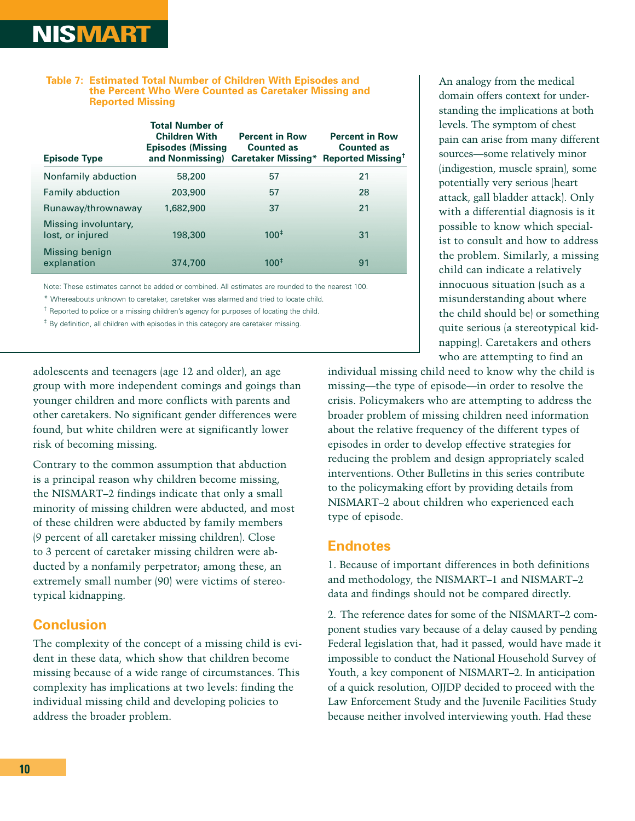#### **Table 7: Estimated Total Number of Children With Episodes and the Percent Who Were Counted as Caretaker Missing and Reported Missing**

| <b>Episode Type</b>                      | <b>Total Number of</b><br><b>Children With</b><br><b>Episodes (Missing</b><br>and Nonmissing) | <b>Percent in Row</b><br><b>Counted as</b><br><b>Caretaker Missing*</b> | <b>Percent in Row</b><br><b>Counted as</b><br>Reported Missing <sup>†</sup> |
|------------------------------------------|-----------------------------------------------------------------------------------------------|-------------------------------------------------------------------------|-----------------------------------------------------------------------------|
| Nonfamily abduction                      | 58,200                                                                                        | 57                                                                      | 21                                                                          |
| <b>Family abduction</b>                  | 203,900                                                                                       | 57                                                                      | 28                                                                          |
| Runaway/thrownaway                       | 1,682,900                                                                                     | 37                                                                      | 21                                                                          |
| Missing involuntary,<br>lost, or injured | 198,300                                                                                       | $100^{\ddagger}$                                                        | 31                                                                          |
| Missing benign<br>explanation            | 374,700                                                                                       | 100 <sup>‡</sup>                                                        | 91                                                                          |

Note: These estimates cannot be added or combined. All estimates are rounded to the nearest 100.

\* Whereabouts unknown to caretaker, caretaker was alarmed and tried to locate child.

<sup>†</sup> Reported to police or a missing children's agency for purposes of locating the child.

‡ By definition, all children with episodes in this category are caretaker missing.

adolescents and teenagers (age 12 and older), an age group with more independent comings and goings than younger children and more conflicts with parents and other caretakers. No significant gender differences were found, but white children were at significantly lower risk of becoming missing.

Contrary to the common assumption that abduction is a principal reason why children become missing, the NISMART–2 findings indicate that only a small minority of missing children were abducted, and most of these children were abducted by family members (9 percent of all caretaker missing children). Close to 3 percent of caretaker missing children were abducted by a nonfamily perpetrator; among these, an extremely small number (90) were victims of stereotypical kidnapping.

#### **Conclusion**

The complexity of the concept of a missing child is evident in these data, which show that children become missing because of a wide range of circumstances. This complexity has implications at two levels: finding the individual missing child and developing policies to address the broader problem.

An analogy from the medical domain offers context for understanding the implications at both levels. The symptom of chest pain can arise from many different sources—some relatively minor (indigestion, muscle sprain), some potentially very serious (heart attack, gall bladder attack). Only with a differential diagnosis is it possible to know which specialist to consult and how to address the problem. Similarly, a missing child can indicate a relatively innocuous situation (such as a misunderstanding about where the child should be) or something quite serious (a stereotypical kidnapping). Caretakers and others who are attempting to find an

individual missing child need to know why the child is missing—the type of episode—in order to resolve the crisis. Policymakers who are attempting to address the broader problem of missing children need information about the relative frequency of the different types of episodes in order to develop effective strategies for reducing the problem and design appropriately scaled interventions. Other Bulletins in this series contribute to the policymaking effort by providing details from NISMART–2 about children who experienced each type of episode.

#### **Endnotes**

1. Because of important differences in both definitions and methodology, the NISMART–1 and NISMART–2 data and findings should not be compared directly.

2. The reference dates for some of the NISMART–2 component studies vary because of a delay caused by pending Federal legislation that, had it passed, would have made it impossible to conduct the National Household Survey of Youth, a key component of NISMART–2. In anticipation of a quick resolution, OJJDP decided to proceed with the Law Enforcement Study and the Juvenile Facilities Study because neither involved interviewing youth. Had these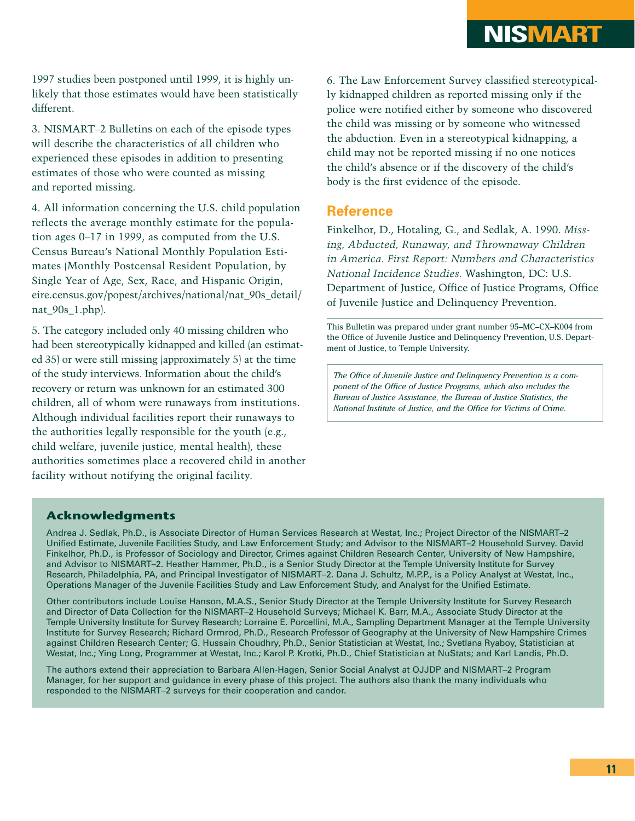1997 studies been postponed until 1999, it is highly unlikely that those estimates would have been statistically different.

3. NISMART–2 Bulletins on each of the episode types will describe the characteristics of all children who experienced these episodes in addition to presenting estimates of those who were counted as missing and reported missing.

4. All information concerning the U.S. child population reflects the average monthly estimate for the population ages 0–17 in 1999, as computed from the U.S. Census Bureau's National Monthly Population Estimates (Monthly Postcensal Resident Population, by Single Year of Age, Sex, Race, and Hispanic Origin, eire.census.gov/popest/archives/national/nat\_90s\_detail/ nat\_90s\_1.php).

5. The category included only 40 missing children who had been stereotypically kidnapped and killed (an estimated 35) or were still missing (approximately 5) at the time of the study interviews. Information about the child's recovery or return was unknown for an estimated 300 children, all of whom were runaways from institutions. Although individual facilities report their runaways to the authorities legally responsible for the youth (e.g., child welfare, juvenile justice, mental health), these authorities sometimes place a recovered child in another facility without notifying the original facility.

6. The Law Enforcement Survey classified stereotypically kidnapped children as reported missing only if the police were notified either by someone who discovered the child was missing or by someone who witnessed the abduction. Even in a stereotypical kidnapping, a child may not be reported missing if no one notices the child's absence or if the discovery of the child's body is the first evidence of the episode.

#### **Reference**

Finkelhor, D., Hotaling, G., and Sedlak, A. 1990. *Missing, Abducted, Runaway, and Thrownaway Children in America. First Report: Numbers and Characteristics National Incidence Studies.* Washington, DC: U.S. Department of Justice, Office of Justice Programs, Office of Juvenile Justice and Delinquency Prevention.

This Bulletin was prepared under grant number 95–MC–CX–K004 from the Office of Juvenile Justice and Delinquency Prevention, U.S. Department of Justice, to Temple University.

*The Office of Juvenile Justice and Delinquency Prevention is a component of the Office of Justice Programs, which also includes the Bureau of Justice Assistance, the Bureau of Justice Statistics, the National Institute of Justice, and the Office for Victims of Crime.*

#### **Acknowledgments**

Andrea J. Sedlak, Ph.D., is Associate Director of Human Services Research at Westat, Inc.; Project Director of the NISMART–2 Unified Estimate, Juvenile Facilities Study, and Law Enforcement Study; and Advisor to the NISMART–2 Household Survey. David Finkelhor, Ph.D., is Professor of Sociology and Director, Crimes against Children Research Center, University of New Hampshire, and Advisor to NISMART–2. Heather Hammer, Ph.D., is a Senior Study Director at the Temple University Institute for Survey Research, Philadelphia, PA, and Principal Investigator of NISMART–2. Dana J. Schultz, M.P.P., is a Policy Analyst at Westat, Inc., Operations Manager of the Juvenile Facilities Study and Law Enforcement Study, and Analyst for the Unified Estimate.

Other contributors include Louise Hanson, M.A.S., Senior Study Director at the Temple University Institute for Survey Research and Director of Data Collection for the NISMART–2 Household Surveys; Michael K. Barr, M.A., Associate Study Director at the Temple University Institute for Survey Research; Lorraine E. Porcellini, M.A., Sampling Department Manager at the Temple University Institute for Survey Research; Richard Ormrod, Ph.D., Research Professor of Geography at the University of New Hampshire Crimes against Children Research Center; G. Hussain Choudhry, Ph.D., Senior Statistician at Westat, Inc.; Svetlana Ryaboy, Statistician at Westat, Inc.; Ying Long, Programmer at Westat, Inc.; Karol P. Krotki, Ph.D., Chief Statistician at NuStats; and Karl Landis, Ph.D.

The authors extend their appreciation to Barbara Allen-Hagen, Senior Social Analyst at OJJDP and NISMART–2 Program Manager, for her support and guidance in every phase of this project. The authors also thank the many individuals who responded to the NISMART–2 surveys for their cooperation and candor.